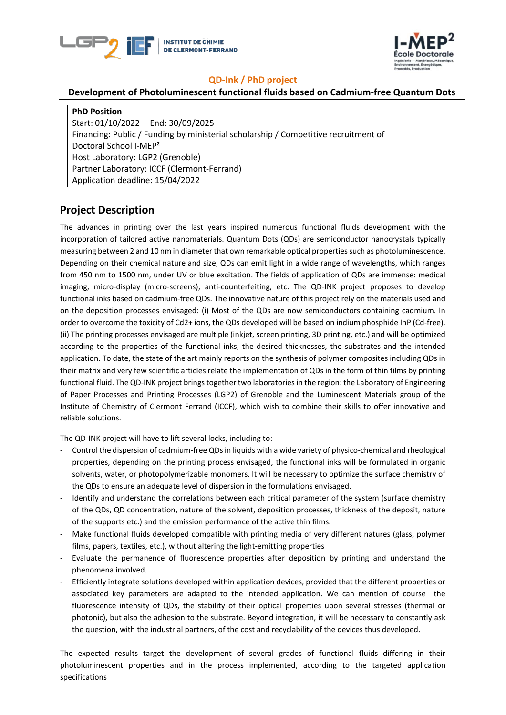



#### **QD-Ink / PhD project**

#### **Development of Photoluminescent functional fluids based on Cadmium-free Quantum Dots**

**PhD Position**  Start: 01/10/2022 End: 30/09/2025 Financing: Public / Funding by ministerial scholarship / Competitive recruitment of Doctoral School I-MEP² Host Laboratory: LGP2 (Grenoble) Partner Laboratory: ICCF (Clermont-Ferrand) Application deadline: 15/04/2022

## **Project Description**

The advances in printing over the last years inspired numerous functional fluids development with the incorporation of tailored active nanomaterials. Quantum Dots (QDs) are semiconductor nanocrystals typically measuring between 2 and 10 nm in diameter that own remarkable optical properties such as photoluminescence. Depending on their chemical nature and size, QDs can emit light in a wide range of wavelengths, which ranges from 450 nm to 1500 nm, under UV or blue excitation. The fields of application of QDs are immense: medical imaging, micro-display (micro-screens), anti-counterfeiting, etc. The QD-INK project proposes to develop functional inks based on cadmium-free QDs. The innovative nature of this project rely on the materials used and on the deposition processes envisaged: (i) Most of the QDs are now semiconductors containing cadmium. In order to overcome the toxicity of Cd2+ ions, the QDs developed will be based on indium phosphide InP (Cd-free). (ii) The printing processes envisaged are multiple (inkjet, screen printing, 3D printing, etc.) and will be optimized according to the properties of the functional inks, the desired thicknesses, the substrates and the intended application. To date, the state of the art mainly reports on the synthesis of polymer composites including QDs in their matrix and very few scientific articles relate the implementation of QDs in the form of thin films by printing functional fluid. The QD-INK project brings together two laboratories in the region: the Laboratory of Engineering of Paper Processes and Printing Processes (LGP2) of Grenoble and the Luminescent Materials group of the Institute of Chemistry of Clermont Ferrand (ICCF), which wish to combine their skills to offer innovative and reliable solutions.

The QD-INK project will have to lift several locks, including to:

- Control the dispersion of cadmium-free QDs in liquids with a wide variety of physico-chemical and rheological properties, depending on the printing process envisaged, the functional inks will be formulated in organic solvents, water, or photopolymerizable monomers. It will be necessary to optimize the surface chemistry of the QDs to ensure an adequate level of dispersion in the formulations envisaged.
- Identify and understand the correlations between each critical parameter of the system (surface chemistry of the QDs, QD concentration, nature of the solvent, deposition processes, thickness of the deposit, nature of the supports etc.) and the emission performance of the active thin films.
- Make functional fluids developed compatible with printing media of very different natures (glass, polymer films, papers, textiles, etc.), without altering the light-emitting properties
- Evaluate the permanence of fluorescence properties after deposition by printing and understand the phenomena involved.
- Efficiently integrate solutions developed within application devices, provided that the different properties or associated key parameters are adapted to the intended application. We can mention of course the fluorescence intensity of QDs, the stability of their optical properties upon several stresses (thermal or photonic), but also the adhesion to the substrate. Beyond integration, it will be necessary to constantly ask the question, with the industrial partners, of the cost and recyclability of the devices thus developed.

The expected results target the development of several grades of functional fluids differing in their photoluminescent properties and in the process implemented, according to the targeted application specifications